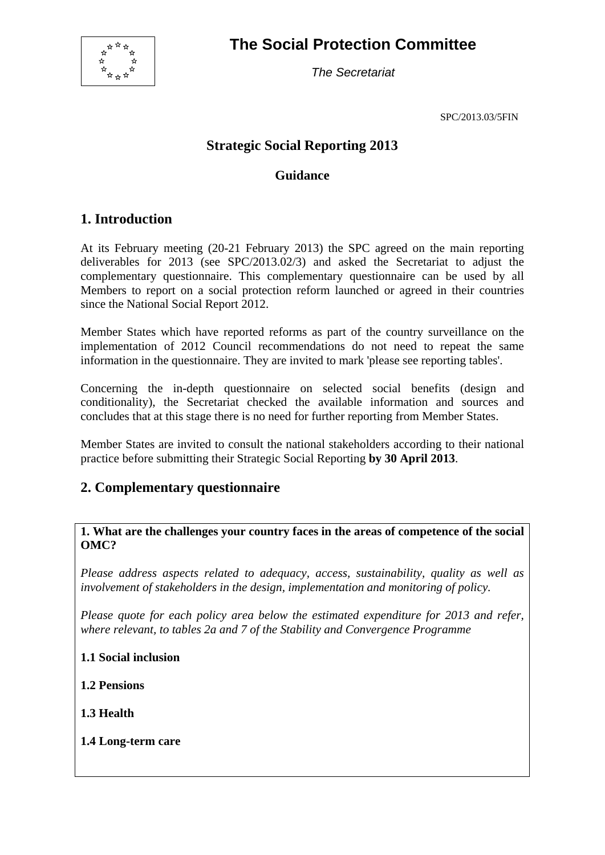

**The Social Protection Committee** 

*The Secretariat* 

SPC/2013.03/5FIN

# **Strategic Social Reporting 2013**

### **Guidance**

# **1. Introduction**

At its February meeting (20-21 February 2013) the SPC agreed on the main reporting deliverables for 2013 (see SPC/2013.02/3) and asked the Secretariat to adjust the complementary questionnaire. This complementary questionnaire can be used by all Members to report on a social protection reform launched or agreed in their countries since the National Social Report 2012.

Member States which have reported reforms as part of the country surveillance on the implementation of 2012 Council recommendations do not need to repeat the same information in the questionnaire. They are invited to mark 'please see reporting tables'.

Concerning the in-depth questionnaire on selected social benefits (design and conditionality), the Secretariat checked the available information and sources and concludes that at this stage there is no need for further reporting from Member States.

Member States are invited to consult the national stakeholders according to their national practice before submitting their Strategic Social Reporting **by 30 April 2013**.

## **2. Complementary questionnaire**

#### **1. What are the challenges your country faces in the areas of competence of the social OMC?**

*Please address aspects related to adequacy, access, sustainability, quality as well as involvement of stakeholders in the design, implementation and monitoring of policy.* 

*Please quote for each policy area below the estimated expenditure for 2013 and refer, where relevant, to tables 2a and 7 of the Stability and Convergence Programme* 

#### **1.1 Social inclusion**

**1.2 Pensions** 

**1.3 Health** 

**1.4 Long-term care**